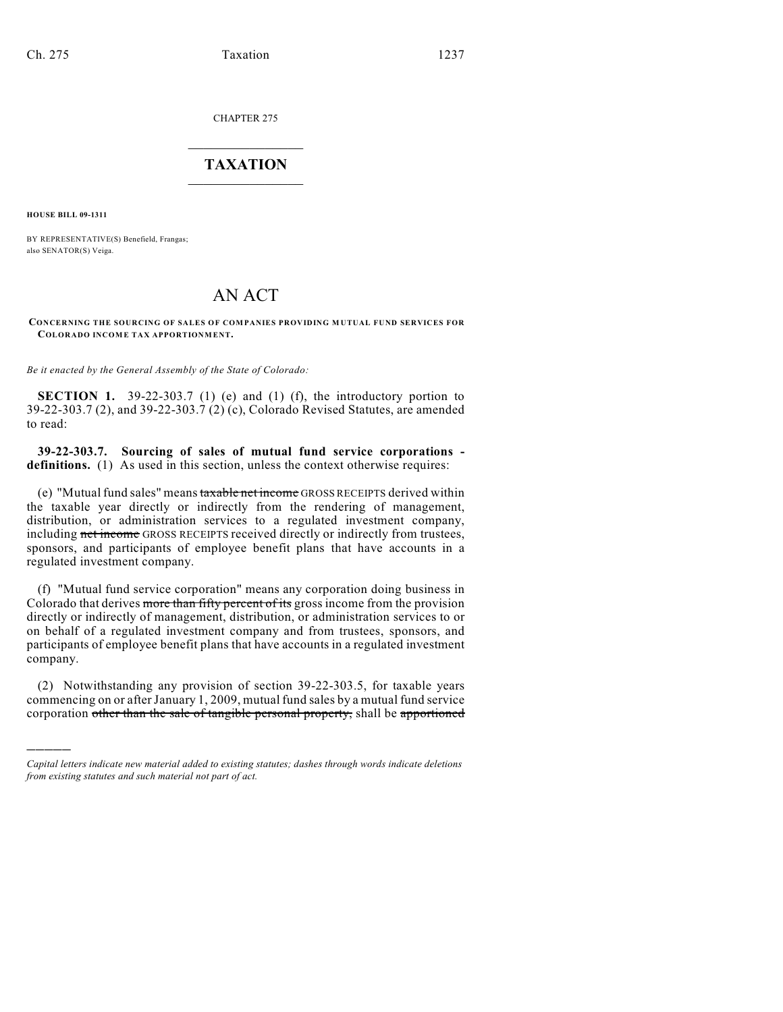CHAPTER 275

## $\mathcal{L}_\text{max}$  . The set of the set of the set of the set of the set of the set of the set of the set of the set of the set of the set of the set of the set of the set of the set of the set of the set of the set of the set **TAXATION**  $\_$

**HOUSE BILL 09-1311**

)))))

BY REPRESENTATIVE(S) Benefield, Frangas; also SENATOR(S) Veiga.

## AN ACT

## **CONCERNING THE SOURCING OF SALES OF COMPANIES PROVIDING M UTUAL FUND SERVICES FOR COLORADO INCOME TAX APPORTIONMENT.**

*Be it enacted by the General Assembly of the State of Colorado:*

**SECTION 1.** 39-22-303.7 (1) (e) and (1) (f), the introductory portion to 39-22-303.7 (2), and 39-22-303.7 (2) (c), Colorado Revised Statutes, are amended to read:

**39-22-303.7. Sourcing of sales of mutual fund service corporations definitions.** (1) As used in this section, unless the context otherwise requires:

(e) "Mutual fund sales" means taxable net income GROSS RECEIPTS derived within the taxable year directly or indirectly from the rendering of management, distribution, or administration services to a regulated investment company, including net income GROSS RECEIPTS received directly or indirectly from trustees, sponsors, and participants of employee benefit plans that have accounts in a regulated investment company.

(f) "Mutual fund service corporation" means any corporation doing business in Colorado that derives more than fifty percent of its gross income from the provision directly or indirectly of management, distribution, or administration services to or on behalf of a regulated investment company and from trustees, sponsors, and participants of employee benefit plans that have accounts in a regulated investment company.

(2) Notwithstanding any provision of section 39-22-303.5, for taxable years commencing on or after January 1, 2009, mutual fund sales by a mutual fund service corporation other than the sale of tangible personal property, shall be apportioned

*Capital letters indicate new material added to existing statutes; dashes through words indicate deletions from existing statutes and such material not part of act.*